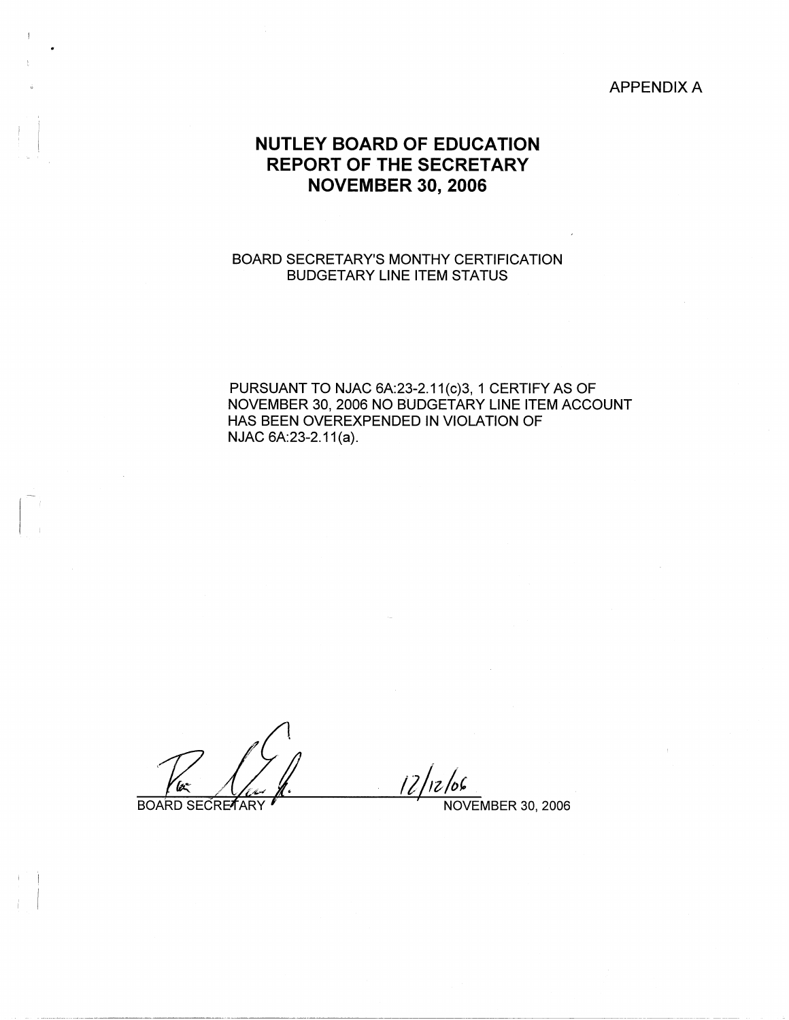# APPENDIX A

# **NUTLEY BOARD OF EDUCATION REPORT OF THE SECRETARY NOVEMBER 30, 2006**

# BOARD SECRETARY'S MONTHY CERTIFICATION BUDGETARY LINE ITEM STATUS

PURSUANT TO NJAC 6A:23-2.11(c)3, 1 CERTIFY AS OF NOVEMBER 30, 2006 NO BUDGETARY LINE ITEM ACCOUNT HAS BEEN OVEREXPENDED IN VIOLATION OF NJAC 6A:23-2.11(a).

'bz

BOARD SECRETARY

' I I

 $12/12/66$ NOVEMBER 30, 2006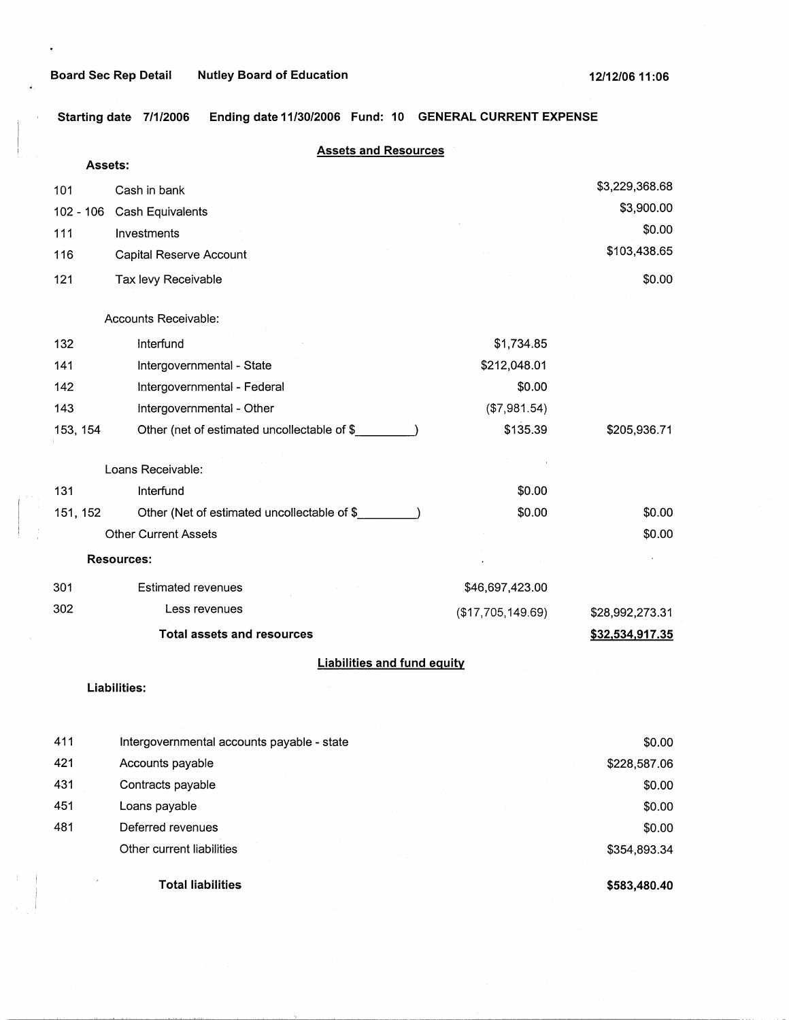$\ddot{\phantom{0}}$ 

Ŷ.

**Starting date 7/1/2006 Ending date 11/30/2006 Fund: 10 GENERAL CURRENT EXPENSE** 

| <b>Assets:</b>                                          |                                                                                                                                               |                                                                   |
|---------------------------------------------------------|-----------------------------------------------------------------------------------------------------------------------------------------------|-------------------------------------------------------------------|
| Cash in bank                                            |                                                                                                                                               | \$3,229,368.68                                                    |
| $102 - 106$                                             |                                                                                                                                               | \$3,900.00                                                        |
| Investments                                             |                                                                                                                                               | \$0.00                                                            |
| Capital Reserve Account                                 |                                                                                                                                               | \$103,438.65                                                      |
| Tax levy Receivable                                     |                                                                                                                                               | \$0.00                                                            |
| Accounts Receivable:                                    |                                                                                                                                               |                                                                   |
| Interfund                                               | \$1,734.85                                                                                                                                    |                                                                   |
| Intergovernmental - State                               | \$212,048.01                                                                                                                                  |                                                                   |
| Intergovernmental - Federal                             | \$0.00                                                                                                                                        |                                                                   |
| Intergovernmental - Other                               | (\$7,981.54)                                                                                                                                  |                                                                   |
| 153, 154<br>Other (net of estimated uncollectable of \$ | \$135.39                                                                                                                                      | \$205,936.71                                                      |
| Loans Receivable:                                       |                                                                                                                                               |                                                                   |
| Interfund                                               | \$0.00                                                                                                                                        |                                                                   |
| 151, 152<br>Other (Net of estimated uncollectable of \$ | \$0.00                                                                                                                                        | \$0.00                                                            |
| <b>Other Current Assets</b>                             |                                                                                                                                               | \$0.00                                                            |
| <b>Resources:</b>                                       |                                                                                                                                               |                                                                   |
| <b>Estimated revenues</b>                               | \$46,697,423.00                                                                                                                               |                                                                   |
| Less revenues                                           | (\$17,705,149.69)                                                                                                                             | \$28,992,273.31                                                   |
| <b>Total assets and resources</b>                       |                                                                                                                                               | \$32,534,917.35                                                   |
|                                                         |                                                                                                                                               |                                                                   |
| Liabilities:                                            |                                                                                                                                               |                                                                   |
|                                                         |                                                                                                                                               |                                                                   |
|                                                         |                                                                                                                                               | \$0.00                                                            |
|                                                         |                                                                                                                                               | \$228,587.06<br>\$0.00                                            |
|                                                         |                                                                                                                                               | \$0.00                                                            |
|                                                         |                                                                                                                                               | \$0.00                                                            |
|                                                         | Cash Equivalents<br>Intergovernmental accounts payable - state<br>Accounts payable<br>Contracts payable<br>Loans payable<br>Deferred revenues | <b>Assets and Resources</b><br><b>Liabilities and fund equity</b> |

**Total liabilities** 

Other current liabilities

 $\mathcal{A}_\mu$ 

**\$583,480.40** 

\$354,893.34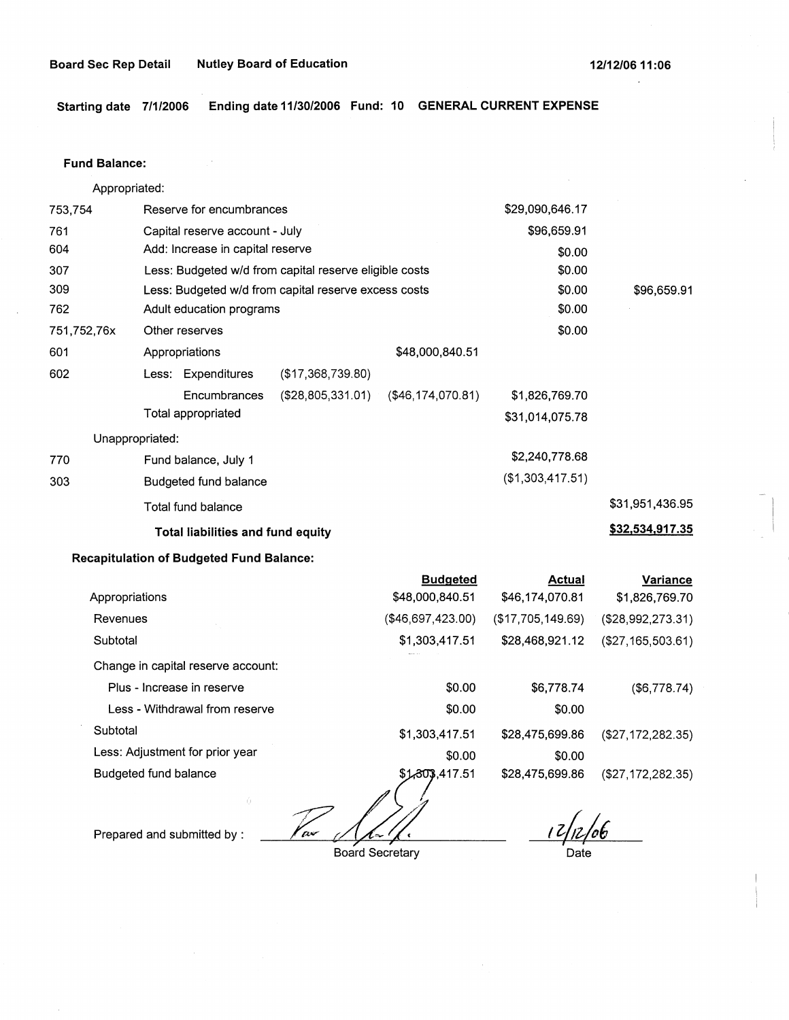**Starting date 7/1/2006 Ending date 11/30/2006 Fund: 10 GENERAL CURRENT EXPENSE** 

#### **Fund Balance:**

753,754 761 604 307 309 Appropriated: Reserve for encumbrances Capital reserve account - July Add: Increase in capital reserve Less: Budgeted w/d from capital reserve eligible costs Less: Budgeted w/d from capital reserve excess costs \$29,090,646.17 \$96,659.91 \$0.00 \$0.00 \$0.00 762 Adult education programs \$0.00 751, 752,76x 601 Other reserves  $$0.00$ 602 770 303 Appropriations Less: Expenditures (\$17,368,739.80) Encumbrances (\$28,805,331.01) Total appropriated Unappropriated: Fund balance, July 1 Budgeted fund balance Total fund balance **Total liabilities and fund equity**  \$48,000,840.51 (\$46,174,070.81) \$1,826,769.70 \$31,014,075.78 \$2,240,778.68 (\$1,303,417.51) \$96,659.91 \$31,951,436.95 **\$32,534,917.35** 

# **Recapitulation of Budgeted Fund Balance:**

|                                    | <b>Budgeted</b>   | <b>Actual</b>     | Variance           |
|------------------------------------|-------------------|-------------------|--------------------|
| Appropriations                     | \$48,000,840.51   | \$46,174,070.81   | \$1,826,769.70     |
| Revenues                           | (\$46,697,423.00) | (\$17,705,149.69) | (\$28,992,273.31)  |
| Subtotal                           | \$1,303,417.51    | \$28,468,921.12   | (\$27,165,503.61)  |
| Change in capital reserve account: |                   |                   |                    |
| Plus - Increase in reserve         | \$0.00            | \$6,778.74        | $($ \$6,778.74 $)$ |
| Less - Withdrawal from reserve     | \$0.00            | \$0.00            |                    |
| Subtotal                           | \$1,303,417.51    | \$28,475,699.86   | (\$27,172,282.35)  |
| Less: Adjustment for prior year    | \$0.00            | \$0.00            |                    |
| Budgeted fund balance              | \$1,303,417.51    | \$28,475,699.86   | (\$27,172,282.35)  |
| -66                                |                   | $\sim$ $\sim$     |                    |

Prepared and submitted by : *Vax 14/4 (in metal 17/17/06* ) Date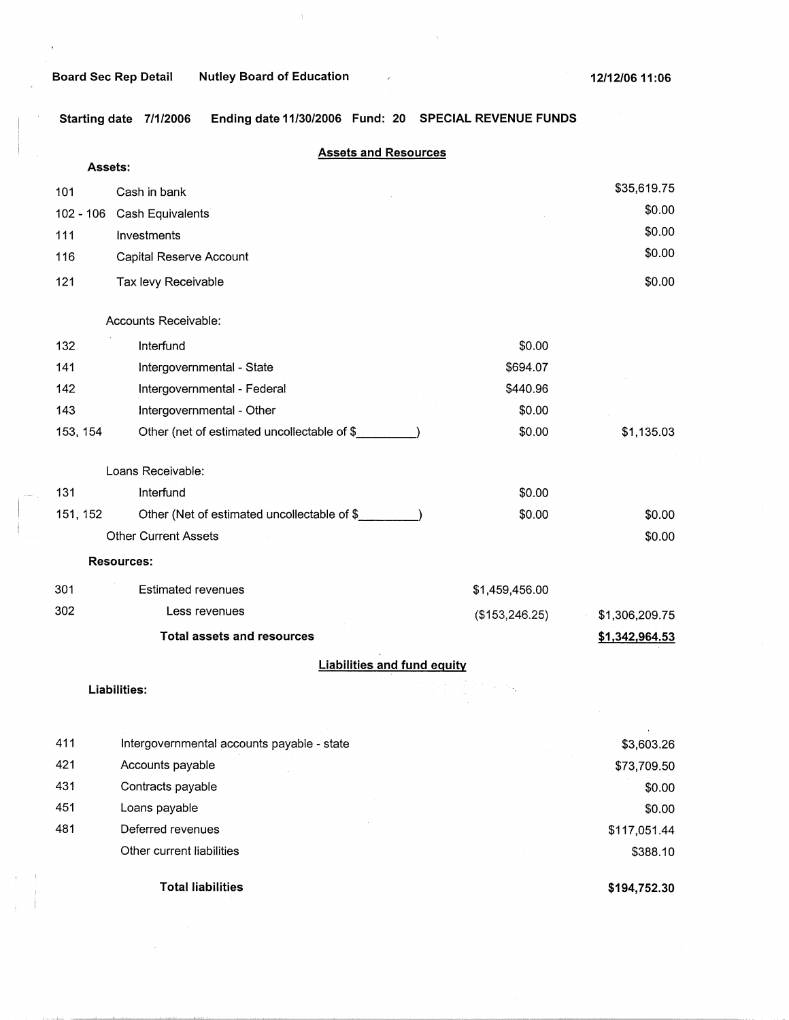# **Board Sec Rep Detail Nutley Board of Education**

 $\overline{1}$ 

**Starting date 7/1/2006 Ending date 11/30/2006 Fund: 20 SPECIAL REVENUE FUNDS** 

 $\overline{\epsilon}$ 

 $\bar{\gamma}$ 

| Assets:     | <b>Assets and Resources</b>                 |                 |                |
|-------------|---------------------------------------------|-----------------|----------------|
| 101         | Cash in bank                                |                 | \$35,619.75    |
| $102 - 106$ | Cash Equivalents                            |                 | \$0.00         |
| 111         | Investments                                 |                 | \$0.00         |
| 116         | Capital Reserve Account                     |                 | \$0.00         |
| 121         | Tax levy Receivable                         |                 | \$0.00         |
|             | Accounts Receivable:                        |                 |                |
| 132         | Interfund                                   | \$0.00          |                |
| 141         | Intergovernmental - State                   | \$694.07        |                |
| 142         | Intergovernmental - Federal                 | \$440.96        |                |
| 143         | Intergovernmental - Other                   | \$0.00          |                |
| 153, 154    | Other (net of estimated uncollectable of \$ | \$0.00          | \$1,135.03     |
|             | Loans Receivable:                           |                 |                |
| 131         | Interfund                                   | \$0.00          |                |
| 151, 152    | Other (Net of estimated uncollectable of \$ | \$0.00          | \$0.00         |
|             | <b>Other Current Assets</b>                 |                 | \$0.00         |
|             | <b>Resources:</b>                           |                 |                |
| 301         | <b>Estimated revenues</b>                   | \$1,459,456.00  |                |
| 302         | Less revenues                               | (\$153, 246.25) | \$1,306,209.75 |
|             | <b>Total assets and resources</b>           |                 | \$1,342,964.53 |
|             | <b>Liabilities and fund equity</b>          |                 |                |
|             | Liabilities:                                |                 |                |
|             |                                             |                 |                |
| 411         | Intergovernmental accounts payable - state  |                 | \$3,603.26     |
| 421         | Accounts payable                            |                 | \$73,709.50    |
| 431         | Contracts payable                           |                 | \$0.00         |
| 451<br>101  | Loans payable<br>$D$ oforrod rovanuor       |                 | \$0.00         |

|     | <b>Total liabilities</b>                   | \$194,752.30 |
|-----|--------------------------------------------|--------------|
|     | Other current liabilities                  | \$388.10     |
| 481 | Deferred revenues                          | \$117,051.44 |
| 451 | Loans payable                              | \$0.00       |
| 431 | Contracts payable                          | \$0.00       |
| 421 | Accounts payable                           | \$73,709.50  |
| 411 | Intergovernmental accounts payable - state | \$3,603.26   |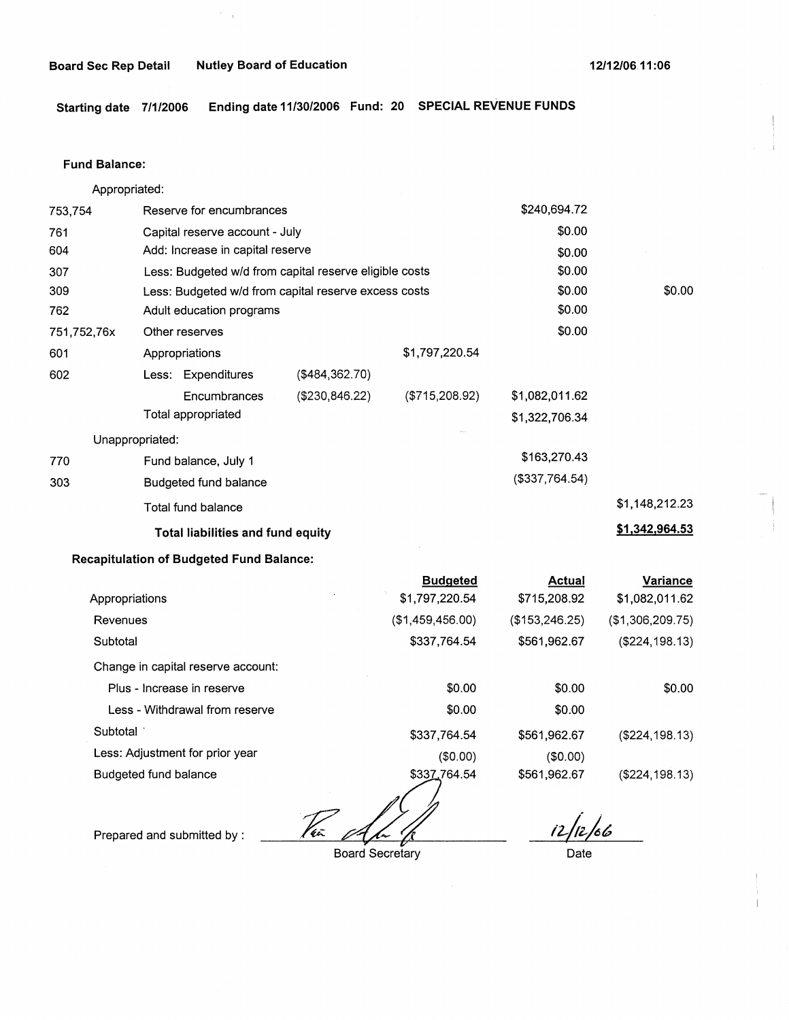**Board Sec Rep Detail Mutley Board of Education 12/12/06 12/12/06 11:06** 

**Starting date 7/1/2006 Ending date 11/30/2006 Fund: 20 SPECIAL REVENUE FUNDS** 

### **Fund Balance:**

Appropriated: 753,754 Reserve for encumbrances Capital reserve account - July Add: Increase in capital reserve 761 604 307 309 762 751,752,76x 601 Less: Budgeted w/d from capital reserve eligible costs Less: Budgeted w/d from capital reserve excess costs Adult education programs Other reserves Appropriations \$1,797,220.54 602 770 303 Less: Expenditures Encumbrances Total appropriated Unappropriated: Fund balance, July 1 Budgeted fund balance Total fund balance (\$484,362.70) (\$230,846.22) (\$715,208.92) **Total liabilities and fund equity Recapitulation of Budgeted Fund Balance: Budgeted**  \$240,694.72 \$0.00 \$0.00 \$0.00 \$0.00 \$0.00 \$0.00 \$1,082,011.62 \$1,322,706.34 \$163,270.43 (\$337,764.54) **Actual**  \$0.00 \$1,148,212.23 **\$1,342,964.53 Variance** 

| Appropriations                     | \$1,797,220.54   | \$715,208.92    | \$1,082,011.62   |
|------------------------------------|------------------|-----------------|------------------|
| Revenues                           | (\$1,459,456.00) | (\$153, 246.25) | (\$1,306,209.75) |
| Subtotal                           | \$337,764.54     | \$561,962.67    | (\$224, 198.13)  |
| Change in capital reserve account: |                  |                 |                  |
| Plus - Increase in reserve         | \$0.00           | \$0.00          | \$0.00           |
| Less - Withdrawal from reserve     | \$0.00           | \$0.00          |                  |
| Subtotal                           | \$337,764.54     | \$561,962.67    | (\$224,198.13)   |
| Less: Adjustment for prior year    | (\$0.00)         | (\$0.00)        |                  |
| Budgeted fund balance              | \$337,764.54     | \$561,962.67    | (\$224, 198.13)  |
|                                    |                  |                 |                  |

Par April

Prepared and submitted by :

Board Secretary

*12--/1!)6* 

——<br>Date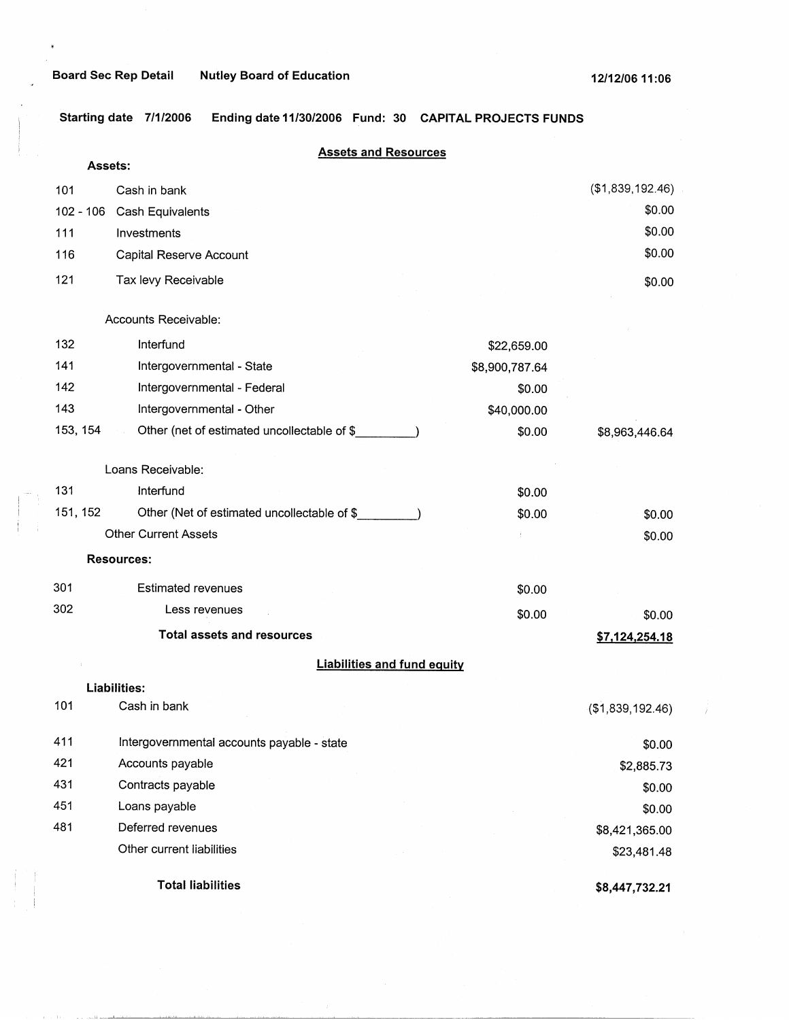$\theta$ 

سيند للأنباء أد

**Starting date 7/1/2006 Ending date 11/30/2006 Fund: 30 CAPITAL PROJECTS FUNDS** 

| Assets:     | <b>Assets and Resources</b>                 |                |                  |
|-------------|---------------------------------------------|----------------|------------------|
| 101         | Cash in bank                                |                | (\$1,839,192.46) |
| $102 - 106$ | Cash Equivalents                            |                | \$0.00           |
| 111         | Investments                                 |                | \$0.00           |
| 116         | Capital Reserve Account                     |                | \$0.00           |
| 121         | Tax levy Receivable                         |                | \$0.00           |
|             | Accounts Receivable:                        |                |                  |
| 132         | Interfund                                   | \$22,659.00    |                  |
| 141         | Intergovernmental - State                   | \$8,900,787.64 |                  |
| 142         | Intergovernmental - Federal                 | \$0.00         |                  |
| 143         | Intergovernmental - Other                   | \$40,000.00    |                  |
| 153, 154    | Other (net of estimated uncollectable of \$ | \$0.00         | \$8,963,446.64   |
|             | Loans Receivable:                           |                |                  |
| 131         | Interfund                                   | \$0.00         |                  |
| 151, 152    | Other (Net of estimated uncollectable of \$ | \$0.00         | \$0.00           |
|             | <b>Other Current Assets</b>                 |                | \$0.00           |
|             | <b>Resources:</b>                           |                |                  |
| 301         | <b>Estimated revenues</b>                   | \$0.00         |                  |
| 302         | Less revenues                               | \$0.00         | \$0.00           |
|             | <b>Total assets and resources</b>           |                | \$7,124,254.18   |
|             | <b>Liabilities and fund equity</b>          |                |                  |
|             | <b>Liabilities:</b>                         |                |                  |
| 101         | Cash in bank                                |                | (\$1,839,192.46) |
| 411         | Intergovernmental accounts payable - state  |                | \$0.00           |
| 421         | Accounts payable                            |                | \$2,885.73       |
| 431         | Contracts payable                           |                | \$0.00           |
| 451         | Loans payable                               |                | \$0.00           |
| 481         | Deferred revenues                           |                | \$8,421,365.00   |
|             | Other current liabilities                   |                | \$23,481.48      |
|             | <b>Total liabilities</b>                    |                | \$8,447,732.21   |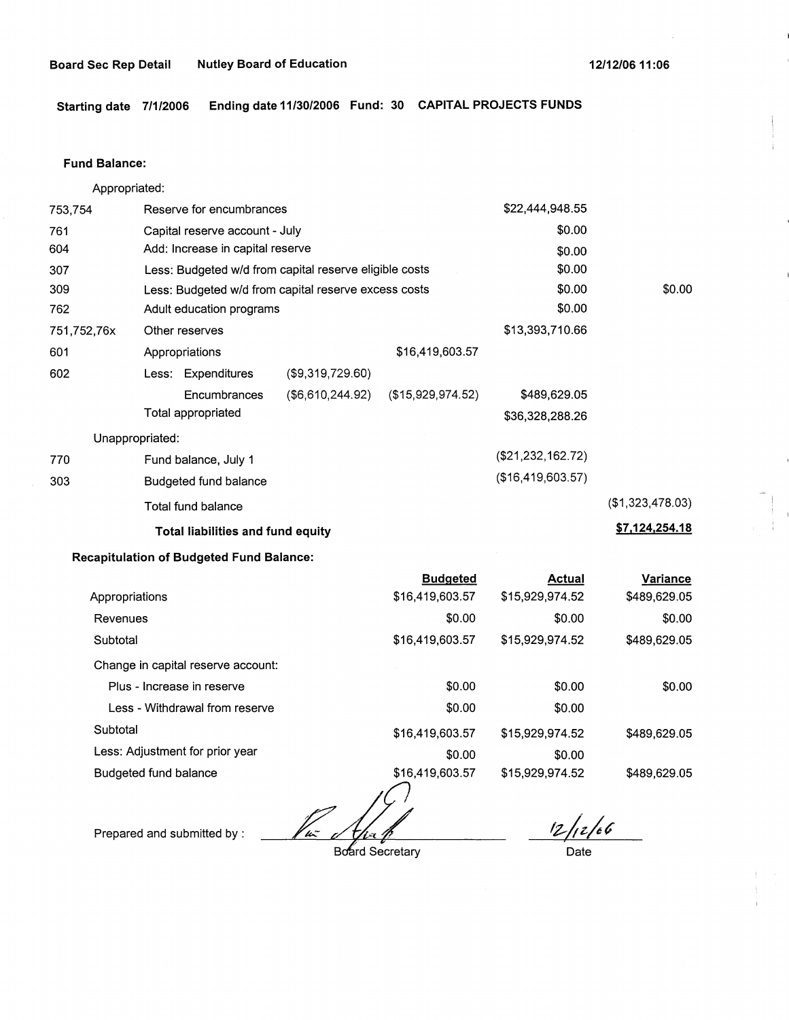**Starting date 7/1/2006 Ending date 11/30/2006 Fund: 30 CAPITAL PROJECTS FUNDS** 

### **Fund Balance:**

Appropriated: 753,754 Reserve for encumbrances Capital reserve account - July Add: Increase in capital reserve 761 604 307 309 762 751,752,76x 601 Less: Budgeted w/d from capital reserve eligible costs Less: Budgeted w/d from capital reserve excess costs Adult education programs Other reserves Appropriations \$16,419,603.57 602 (\$9,319,729.60) Less: Expenditures 770 303 **Encumbrances** Total appropriated Unappropriated: Fund balance, July 1 Budgeted fund balance Total fund balance (\$6,610,244.92) (\$15,929,974.52) **Total liabilities and fund equity**  \$22,444,948.55 \$0.00 \$0.00 \$0.00 \$0.00 \$0.00 \$13,393,710.66 \$489,629.05 \$36,328,288.26 (\$21,232,162.72) (\$16,419,603.57) \$0.00 (\$1,323,478.03) **\$7,124,254.18** 

# **Recapitulation of Budgeted Fund Balance:**

|                                    | <b>Budgeted</b> | <b>Actual</b>   | Variance     |
|------------------------------------|-----------------|-----------------|--------------|
| Appropriations                     | \$16,419,603.57 | \$15,929,974.52 | \$489,629.05 |
| Revenues                           | \$0.00          | \$0.00          | \$0.00       |
| Subtotal                           | \$16,419,603.57 | \$15,929,974.52 | \$489,629.05 |
| Change in capital reserve account: |                 |                 |              |
| Plus - Increase in reserve         | \$0.00          | \$0.00          | \$0.00       |
| Less - Withdrawal from reserve     | \$0.00          | \$0.00          |              |
| Subtotal                           | \$16,419,603.57 | \$15,929,974.52 | \$489,629.05 |
| Less: Adjustment for prior year    | \$0.00          | \$0.00          |              |
| Budgeted fund balance              | \$16,419,603.57 | \$15,929,974.52 | \$489,629.05 |

*f*<br>Board Secretary

Prepared and submitted by :

*12/<sub>1</sub>2/66*<br>Date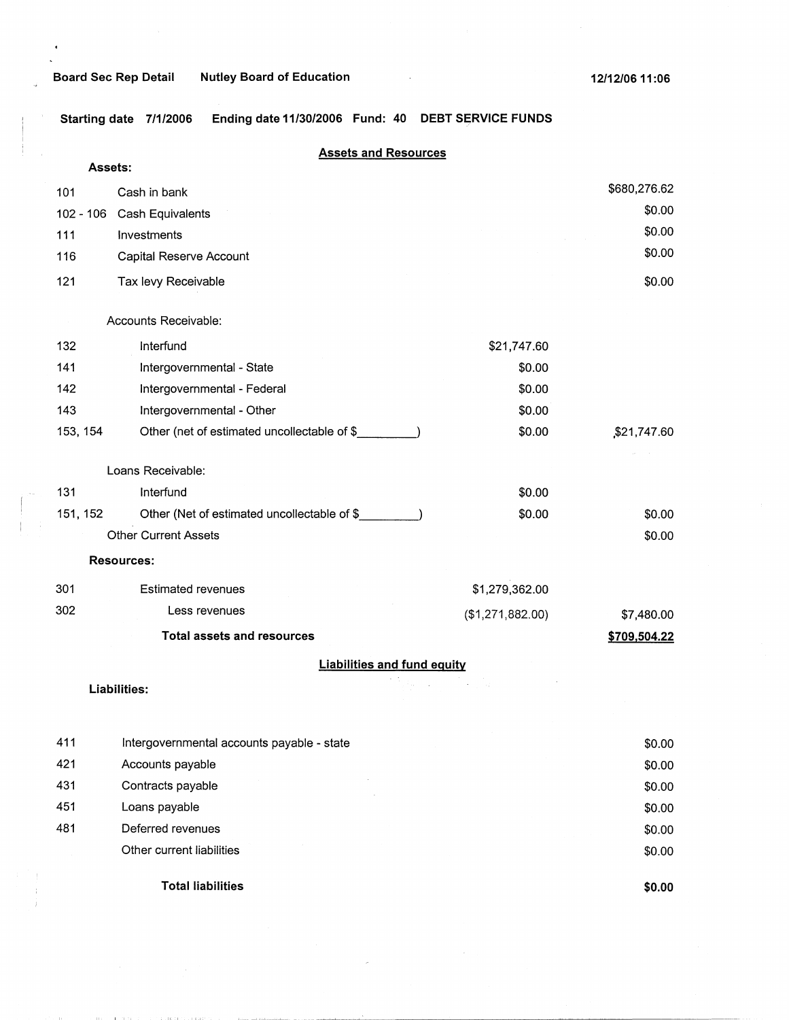Starting date 7/1/2006 Ending date 11/30/2006 Fund: 40 DEBT SERVICE FUNDS

| Assets:   | <b>Assets and Resources</b>                 |                  |              |
|-----------|---------------------------------------------|------------------|--------------|
| 101       | Cash in bank                                |                  | \$680,276.62 |
| 102 - 106 | Cash Equivalents                            |                  | \$0.00       |
| 111       | Investments                                 |                  | \$0.00       |
| 116       | Capital Reserve Account                     |                  | \$0.00       |
| 121       | Tax levy Receivable                         |                  | \$0.00       |
|           |                                             |                  |              |
|           | Accounts Receivable:                        |                  |              |
| 132       | Interfund                                   | \$21,747.60      |              |
| 141       | Intergovernmental - State                   | \$0.00           |              |
| 142       | Intergovernmental - Federal                 | \$0.00           |              |
| 143       | Intergovernmental - Other                   | \$0.00           |              |
| 153, 154  | Other (net of estimated uncollectable of \$ | \$0.00           | \$21,747.60  |
|           | Loans Receivable:                           |                  |              |
| 131       | Interfund                                   | \$0.00           |              |
| 151, 152  | Other (Net of estimated uncollectable of \$ | \$0.00           | \$0.00       |
|           | <b>Other Current Assets</b>                 |                  | \$0.00       |
|           | <b>Resources:</b>                           |                  |              |
| 301       | <b>Estimated revenues</b>                   | \$1,279,362.00   |              |
| 302       | Less revenues                               | (\$1,271,882.00) | \$7,480.00   |
|           | <b>Total assets and resources</b>           |                  | \$709,504.22 |
|           | <b>Liabilities and fund equity</b>          |                  |              |
|           | Liabilities:                                |                  |              |
|           |                                             |                  |              |
| 411       | Intergovernmental accounts payable - state  |                  | \$0.00       |
| 421       | Accounts payable                            |                  | \$0.00       |
| 431       | Contracts payable                           |                  | \$0.00       |
| 451       | Loans payable                               |                  | \$0.00       |
| 481       | Deferred revenues                           |                  | \$0.00       |

**Total liabilities** 

Other current liabilities

**\$0.00** 

\$0.00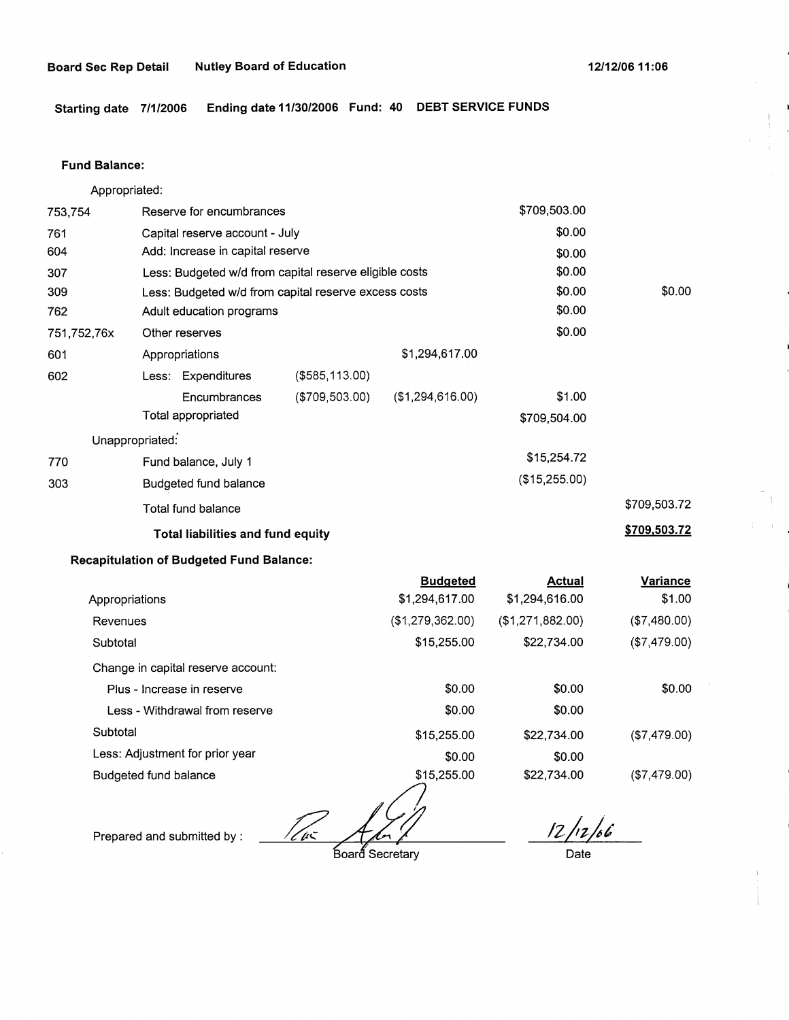**Starting date 7/1/2006 Ending date 11/30/2006 Fund: 40 DEBT SERVICE FUNDS** 

#### **Fund Balance:**

753,754 761 604 Appropriated: Reserve for encumbrances Capital reserve account - July Add: Increase in capital reserve 307 309 762 751,752,76x 601 Less: Budgeted w/d from capital reserve eligible costs Less: Budgeted w/d from capital reserve excess costs Adult education programs 602 770 303 Other reserves Appropriations **Less:** Expenditures Encumbrances Total appropriated Unappropriated: Fund balance, July 1 Budgeted fund balance Total fund balance (\$585,113.00) (\$709,503.00) \$1,294,617.00 (\$1,294,616.00) **Total liabilities and fund equity Recapitulation of Budgeted Fund Balance: Budgeted**  \$709,503.00 \$0.00 \$0.00 \$0.00 \$0.00 \$0.00 \$0.00 \$1.00 \$709,504.00 \$15,254.72 (\$15,255.00) **Actual**  \$0.00 \$709,503.72 **\$709,503.72 Variance** 

| Appropriations                     | \$1,294,617.00   | \$1,294,616.00   | \$1.00       |
|------------------------------------|------------------|------------------|--------------|
| Revenues                           | (\$1,279,362.00) | (\$1,271,882.00) | (\$7,480.00) |
| Subtotal                           | \$15,255.00      | \$22,734.00      | (\$7,479.00) |
| Change in capital reserve account: |                  |                  |              |
| Plus - Increase in reserve         | \$0.00           | \$0.00           | \$0.00       |
| Less - Withdrawal from reserve     | \$0.00           | \$0.00           |              |
| Subtotal                           | \$15,255.00      | \$22,734.00      | (\$7,479.00) |
| Less: Adjustment for prior year    | \$0.00           | \$0.00           |              |
| Budgeted fund balance              | \$15,255.00      | \$22,734.00      | (\$7,479.00) |

Prepared and submitted by :  $\overbrace{f(x)}^{\text{Perperb}}$ 

 $12/12/66$ 

Date

Board Secretary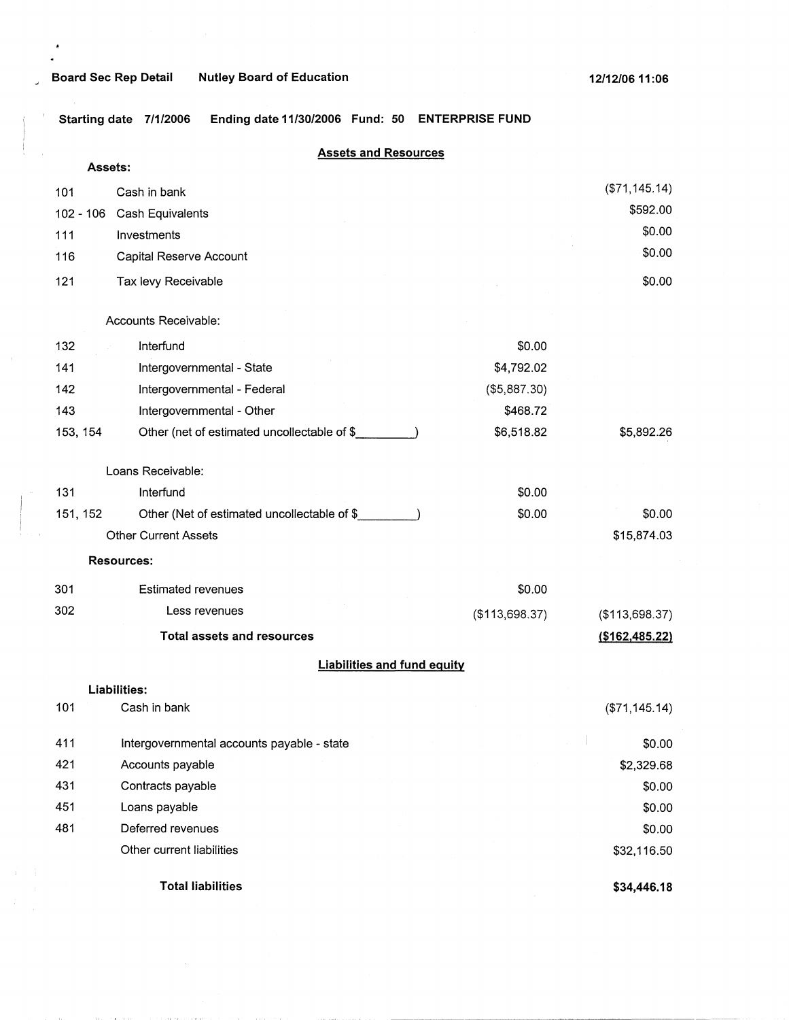# <sup>~</sup>**Board Sec Rep Detail Nutley Board of Education**

' **Starting date 7/1/2006 Ending date 11/30/2006 Fund: 50 ENTERPRISE FUND** 

# **Assets and Resources**

| Assets:     |                                             |                |                 |
|-------------|---------------------------------------------|----------------|-----------------|
| 101         | Cash in bank                                |                | (\$71,145.14)   |
| $102 - 106$ | Cash Equivalents                            |                | \$592.00        |
| 111         | Investments                                 |                | \$0.00          |
| 116         | Capital Reserve Account                     |                | \$0.00          |
| 121         | Tax levy Receivable                         |                | \$0.00          |
|             | Accounts Receivable:                        |                |                 |
| 132         | Interfund                                   | \$0.00         |                 |
| 141         | Intergovernmental - State                   | \$4,792.02     |                 |
| 142         | Intergovernmental - Federal                 | (\$5,887.30)   |                 |
| 143         | Intergovernmental - Other                   | \$468.72       |                 |
| 153, 154    | Other (net of estimated uncollectable of \$ | \$6,518.82     | \$5,892.26      |
|             | Loans Receivable:                           |                |                 |
| 131         | Interfund                                   | \$0.00         |                 |
| 151, 152    | Other (Net of estimated uncollectable of \$ | \$0.00         | \$0.00          |
|             | <b>Other Current Assets</b>                 |                | \$15,874.03     |
|             | <b>Resources:</b>                           |                |                 |
| 301         | <b>Estimated revenues</b>                   | \$0.00         |                 |
| 302         | Less revenues                               | (\$113,698.37) | (\$113,698.37)  |
|             | <b>Total assets and resources</b>           |                | (\$162,485.22)  |
|             | <b>Liabilities and fund equity</b>          |                |                 |
|             | Liabilities:                                |                |                 |
| 101         | Cash in bank                                |                | ( \$71, 145.14) |
| 411         | Intergovernmental accounts payable - state  |                | \$0.00          |
| 421         | Accounts payable                            |                | \$2,329.68      |
| 431         | Contracts payable                           |                | \$0.00          |
| 451         | Loans payable                               |                | \$0.00          |
| 481         | Deferred revenues                           |                | \$0.00          |
|             | Other current liabilities                   |                | \$32,116.50     |
|             | <b>Total liabilities</b>                    |                | \$34,446.18     |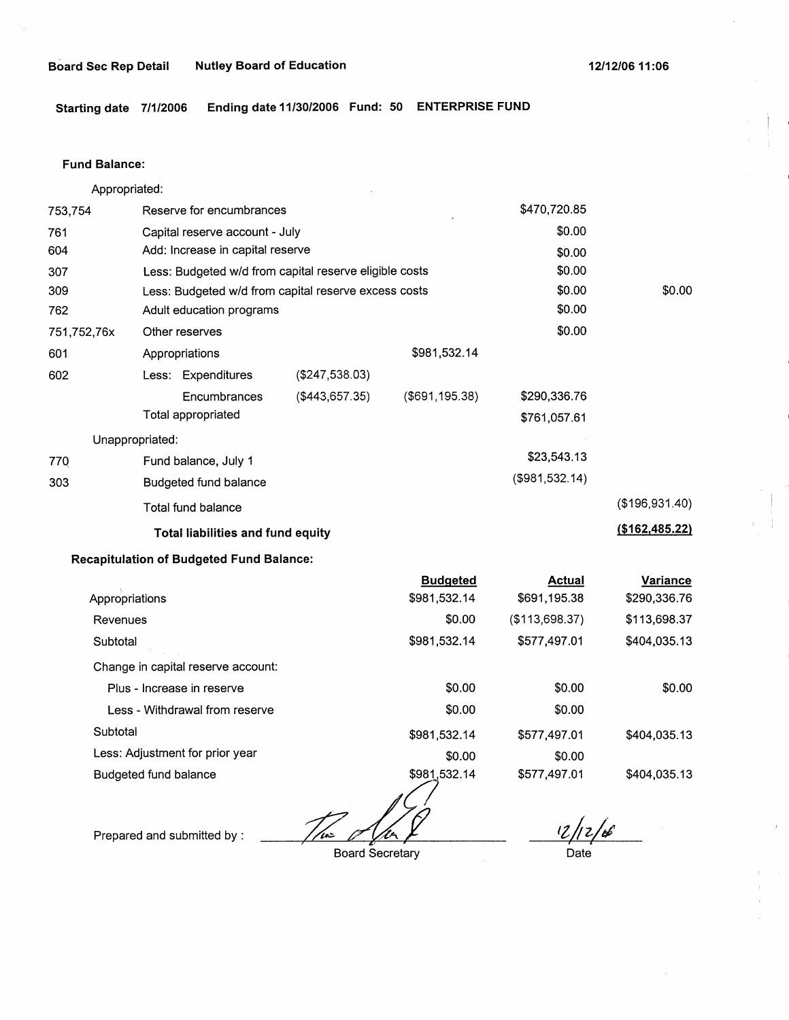**Starting date 7/1/2006 Ending date 11/30/2006 Fund: 50 ENTERPRISE FUND** 

#### **Fund Balance:**

753,754 761 604 Appropriated: Reserve for encumbrances Capital reserve account - July Add: Increase in capital reserve 307 309 762 751,752,76x 601 Less: Budgeted w/d from capital reserve eligible costs Less: Budgeted w/d from capital reserve excess costs Adult education programs 602 77Q 303 Other reserves Appropriations Less: Expenditures **Encumbrances** Total appropriated Unappropriated: Fund balance, July 1 Budgeted fund balance Total fund balance (\$247,538.03) (\$443,657.35) \$981,532.14 (\$691,195.38) **Total liabilities and fund equity Recapitulation of Budgeted Fund Balance:**  I Appropriations Revenues **Subtotal** Change in capital reserve account: Plus - Increase in reserve Less - Withdrawal from reserve **Subtotal** Less: Adjustment for prior year **Budgeted**  \$981,532.14 \$0.00 \$981,532.14 \$0.00 \$0.00 \$981,532.14 \$0.00 \$470,720.85 \$0.00 \$0.00 \$0.00 \$0.00 \$0.00 \$0.00 \$290,336.76 \$761,057.61 \$23,543.13 (\$981,532.14) **Actual**  \$691,195.38 (\$113,698.37) \$577,497.01 \$0.00 \$0.00 \$577,497.01 \$0.00 \$0.00 (\$196,931.40) **(\$162,485.22) Variance**  \$290,336.76 \$113,698.37 \$404,035.13 \$0.00 \$404,035.13

Budgeted fund balance

\$981,532.14 The ola

Prepared and submitted by :

*,z!tz/~* **<sup>i</sup>**..

\$404,035.13

Board Secretary

Date

\$577,497.01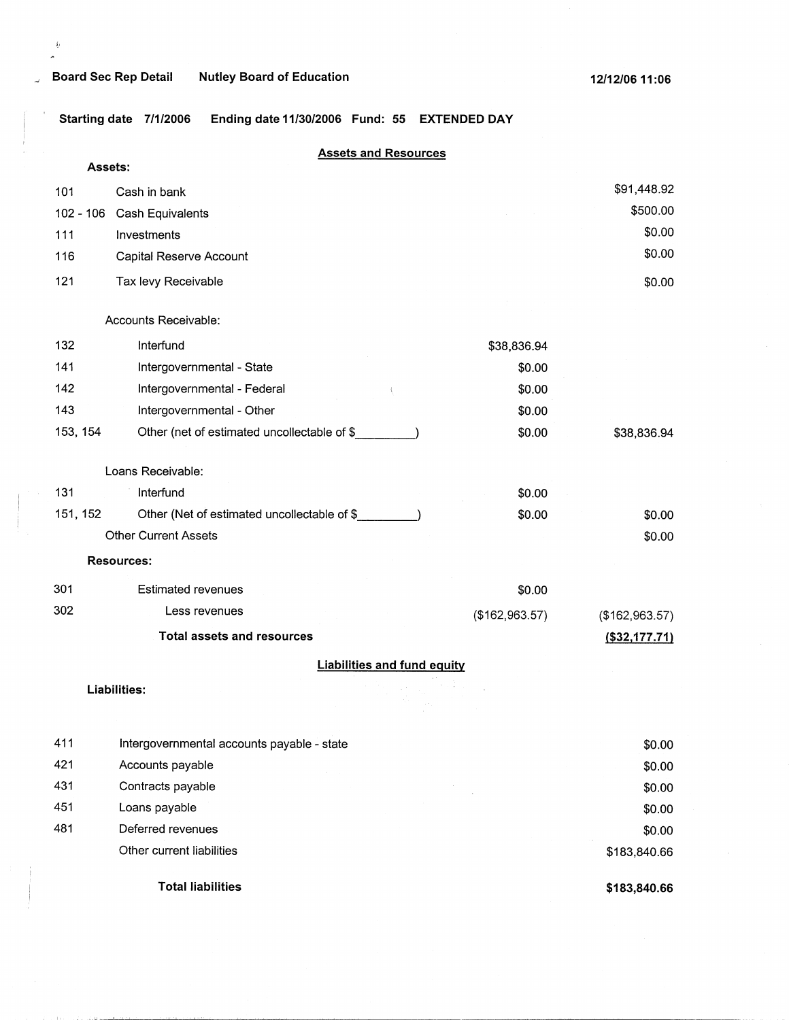$\tilde{\psi}$ 

 $\lambda$ 

**Starting date 7/1/2006 Ending date 11/30/2006 Fund: 55 EXTENDED DAY** 

## **Assets and Resources**

| Assets:     |                                             |                |                  |
|-------------|---------------------------------------------|----------------|------------------|
| 101         | Cash in bank                                |                | \$91,448.92      |
| $102 - 106$ | Cash Equivalents                            |                | \$500.00         |
| 111         | Investments                                 |                | \$0.00           |
| 116         | Capital Reserve Account                     |                | \$0.00           |
| 121         | Tax levy Receivable                         |                | \$0.00           |
|             | Accounts Receivable:                        |                |                  |
| 132         | Interfund                                   | \$38,836.94    |                  |
| 141         | Intergovernmental - State                   | \$0.00         |                  |
| 142         | Intergovernmental - Federal                 | \$0.00         |                  |
| 143         | Intergovernmental - Other                   | \$0.00         |                  |
| 153, 154    | Other (net of estimated uncollectable of \$ | \$0.00         | \$38,836.94      |
|             | Loans Receivable:                           |                |                  |
| 131         | Interfund                                   | \$0.00         |                  |
| 151, 152    | Other (Net of estimated uncollectable of \$ | \$0.00         | \$0.00           |
|             | <b>Other Current Assets</b>                 |                | \$0.00           |
|             | <b>Resources:</b>                           |                |                  |
| 301         | <b>Estimated revenues</b>                   | \$0.00         |                  |
| 302         | Less revenues                               | (\$162,963.57) | (\$162,963.57)   |
|             | <b>Total assets and resources</b>           |                | $($ \$32,177.71) |
|             | <b>Liabilities and fund equity</b>          |                |                  |
|             | <b>Liabilities:</b>                         |                |                  |
| 411         | Intergovernmental accounts payable - state  |                | \$0.00           |
| 421         | Accounts payable                            |                | \$0.00           |
| 431         | Contracts payable                           |                | \$0.00           |
| 451         | Loans payable                               |                | \$0.00           |
| 481         | Deferred revenues                           |                | \$0.00           |
|             | Other current liabilities                   |                | \$183,840.66     |
|             | <b>Total liabilities</b>                    |                | \$183,840.66     |